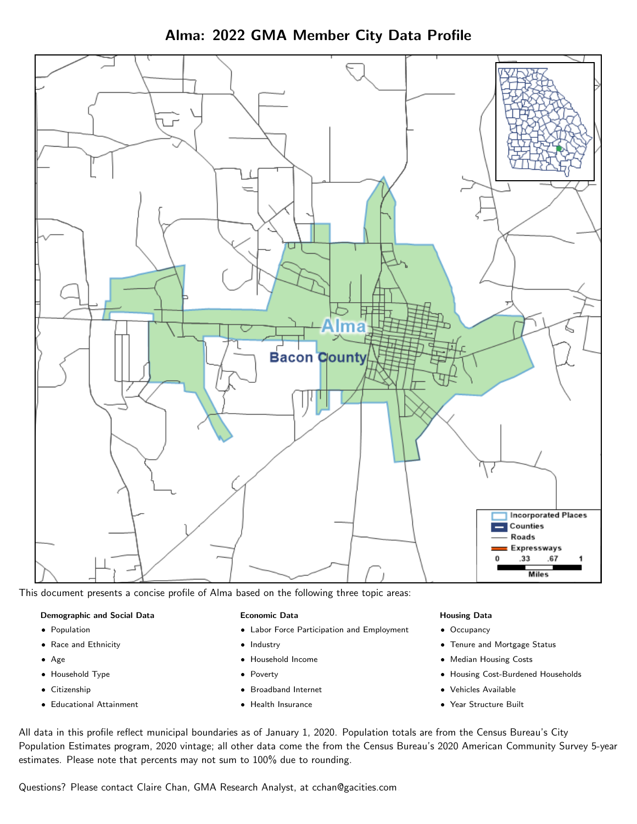



This document presents a concise profile of Alma based on the following three topic areas:

#### Demographic and Social Data

- **•** Population
- Race and Ethnicity
- Age
- Household Type
- **Citizenship**
- Educational Attainment

#### Economic Data

- Labor Force Participation and Employment
- Industry
- Household Income
- Poverty
- Broadband Internet
- Health Insurance

### Housing Data

- Occupancy
- Tenure and Mortgage Status
- Median Housing Costs
- Housing Cost-Burdened Households
- Vehicles Available
- Year Structure Built

All data in this profile reflect municipal boundaries as of January 1, 2020. Population totals are from the Census Bureau's City Population Estimates program, 2020 vintage; all other data come the from the Census Bureau's 2020 American Community Survey 5-year estimates. Please note that percents may not sum to 100% due to rounding.

Questions? Please contact Claire Chan, GMA Research Analyst, at [cchan@gacities.com.](mailto:cchan@gacities.com)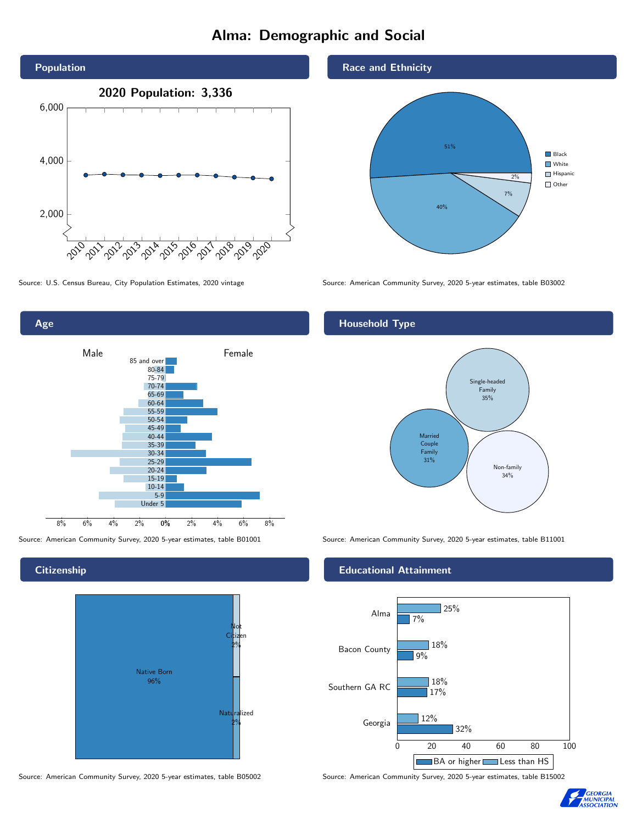# Alma: Demographic and Social



Age 0% 2% 4% 6% 8% Male **Female** 8% 6% 4% 2% 85 and over 80-84 75-79 70-74 65-69 60-64 55-59 50-54 45-49 40-44 35-39 30-34 25-29 20-24 15-19 10-14 5-9 Under 5

# **Citizenship**



#### Source: American Community Survey, 2020 5-year estimates, table B05002 Source: American Community Survey, 2020 5-year estimates, table B15002

#### Race and Ethnicity



Source: U.S. Census Bureau, City Population Estimates, 2020 vintage Source: American Community Survey, 2020 5-year estimates, table B03002

# Household Type



Source: American Community Survey, 2020 5-year estimates, table B01001 Source: American Community Survey, 2020 5-year estimates, table B11001

### Educational Attainment



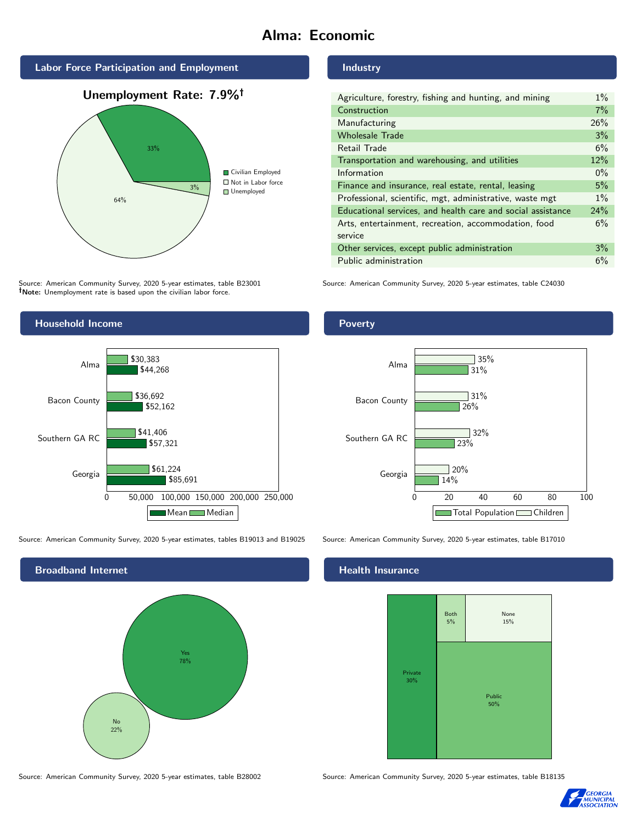# Alma: Economic







Source: American Community Survey, 2020 5-year estimates, table B23001 Note: Unemployment rate is based upon the civilian labor force.



Poverty

| Agriculture, forestry, fishing and hunting, and mining      | $1\%$ |
|-------------------------------------------------------------|-------|
| Construction                                                | 7%    |
| Manufacturing                                               | 26%   |
| <b>Wholesale Trade</b>                                      | 3%    |
| Retail Trade                                                | 6%    |
| Transportation and warehousing, and utilities               | 12%   |
| Information                                                 | $0\%$ |
| Finance and insurance, real estate, rental, leasing         | 5%    |
| Professional, scientific, mgt, administrative, waste mgt    | $1\%$ |
| Educational services, and health care and social assistance | 24%   |
| Arts, entertainment, recreation, accommodation, food        | 6%    |
| service                                                     |       |
| Other services, except public administration                | 3%    |
| Public administration                                       | 6%    |

Source: American Community Survey, 2020 5-year estimates, table C24030

14%

 $720%$ 

 $\overline{23\%}$ 

26%

 $732%$ 

31%

35%

31%



Source: American Community Survey, 2020 5-year estimates, tables B19013 and B19025 Source: American Community Survey, 2020 5-year estimates, table B17010



Georgia

Southern GA RC

Bacon County

Alma

# **Health Insurance**



0 20 40 60 80 100

Total Population Children

Source: American Community Survey, 2020 5-year estimates, table B28002 Source: American Community Survey, 2020 5-year estimates, table B18135